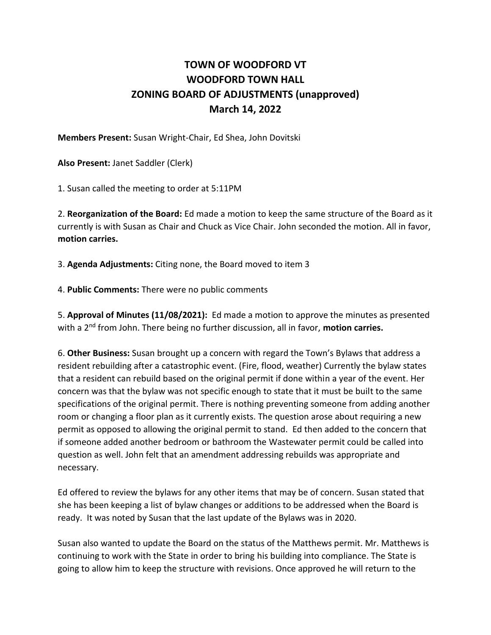## **TOWN OF WOODFORD VT WOODFORD TOWN HALL ZONING BOARD OF ADJUSTMENTS (unapproved) March 14, 2022**

**Members Present:** Susan Wright-Chair, Ed Shea, John Dovitski

**Also Present:** Janet Saddler (Clerk)

1. Susan called the meeting to order at 5:11PM

2. **Reorganization of the Board:** Ed made a motion to keep the same structure of the Board as it currently is with Susan as Chair and Chuck as Vice Chair. John seconded the motion. All in favor, **motion carries.**

3. **Agenda Adjustments:** Citing none, the Board moved to item 3

4. **Public Comments:** There were no public comments

5. **Approval of Minutes (11/08/2021):** Ed made a motion to approve the minutes as presented with a 2nd from John. There being no further discussion, all in favor, **motion carries.**

6. **Other Business:** Susan brought up a concern with regard the Town's Bylaws that address a resident rebuilding after a catastrophic event. (Fire, flood, weather) Currently the bylaw states that a resident can rebuild based on the original permit if done within a year of the event. Her concern was that the bylaw was not specific enough to state that it must be built to the same specifications of the original permit. There is nothing preventing someone from adding another room or changing a floor plan as it currently exists. The question arose about requiring a new permit as opposed to allowing the original permit to stand. Ed then added to the concern that if someone added another bedroom or bathroom the Wastewater permit could be called into question as well. John felt that an amendment addressing rebuilds was appropriate and necessary.

Ed offered to review the bylaws for any other items that may be of concern. Susan stated that she has been keeping a list of bylaw changes or additions to be addressed when the Board is ready. It was noted by Susan that the last update of the Bylaws was in 2020.

Susan also wanted to update the Board on the status of the Matthews permit. Mr. Matthews is continuing to work with the State in order to bring his building into compliance. The State is going to allow him to keep the structure with revisions. Once approved he will return to the